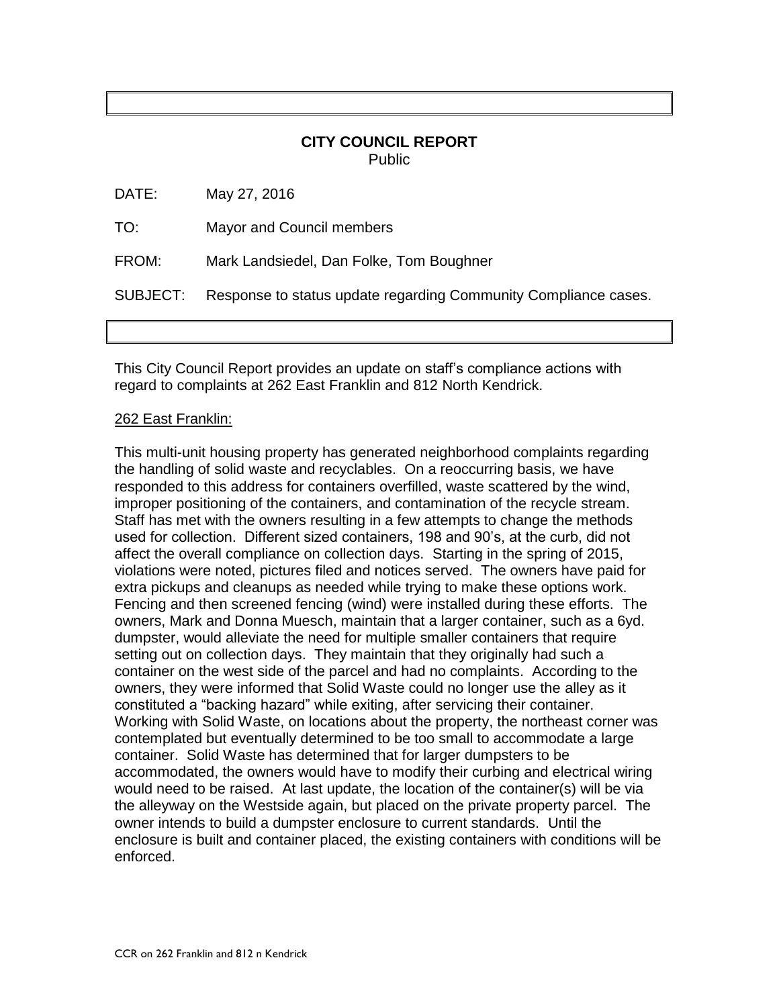## **CITY COUNCIL REPORT** Public

| SUBJECT: | Response to status update regarding Community Compliance cases. |
|----------|-----------------------------------------------------------------|
| FROM:    | Mark Landsiedel, Dan Folke, Tom Boughner                        |
| TO:      | Mayor and Council members                                       |
| DATE:    | May 27, 2016                                                    |

This City Council Report provides an update on staff's compliance actions with regard to complaints at 262 East Franklin and 812 North Kendrick.

## 262 East Franklin:

This multi-unit housing property has generated neighborhood complaints regarding the handling of solid waste and recyclables. On a reoccurring basis, we have responded to this address for containers overfilled, waste scattered by the wind, improper positioning of the containers, and contamination of the recycle stream. Staff has met with the owners resulting in a few attempts to change the methods used for collection. Different sized containers, 198 and 90's, at the curb, did not affect the overall compliance on collection days. Starting in the spring of 2015, violations were noted, pictures filed and notices served. The owners have paid for extra pickups and cleanups as needed while trying to make these options work. Fencing and then screened fencing (wind) were installed during these efforts. The owners, Mark and Donna Muesch, maintain that a larger container, such as a 6yd. dumpster, would alleviate the need for multiple smaller containers that require setting out on collection days. They maintain that they originally had such a container on the west side of the parcel and had no complaints. According to the owners, they were informed that Solid Waste could no longer use the alley as it constituted a "backing hazard" while exiting, after servicing their container. Working with Solid Waste, on locations about the property, the northeast corner was contemplated but eventually determined to be too small to accommodate a large container. Solid Waste has determined that for larger dumpsters to be accommodated, the owners would have to modify their curbing and electrical wiring would need to be raised. At last update, the location of the container(s) will be via the alleyway on the Westside again, but placed on the private property parcel. The owner intends to build a dumpster enclosure to current standards. Until the enclosure is built and container placed, the existing containers with conditions will be enforced.